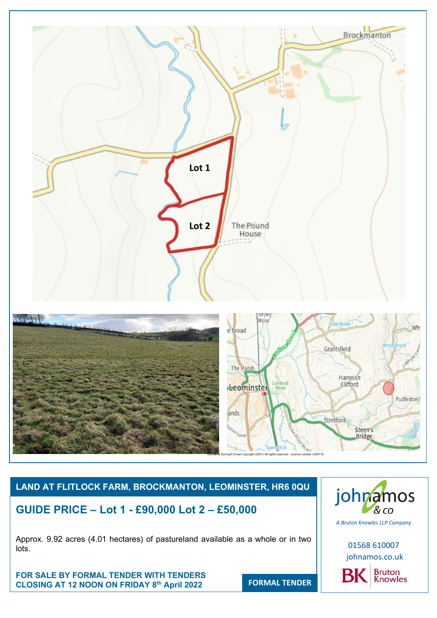

# **LAND AT FLITLOCK FARM, BROCKMANTON, LEOMINSTER, HR6 0QU**

**GUIDE PRICE – Lot 1 - £90,000 Lot 2 – £50,000**

Approx. 9.92 acres (4.01 hectares) of pastureland available as a whole or in two lots.

**FOR SALE BY FORMAL TENDER WITH TENDERS CLOSING AT 12 NOON ON FRIDAY 8 th April 2022** 

johnamos  $8$  CO

*A Bruton Knowles LLP Company*

01568 610007 johnamos.co.uk Bruton<br>Knowles BK

**FORMAL TENDER**